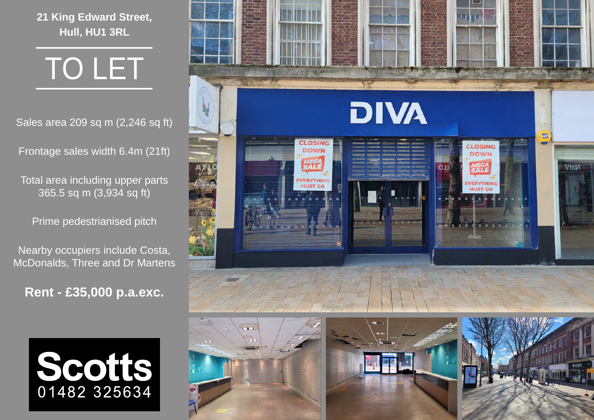**21 King Edward Street, Hull, HU1 3RL**

TO LET

Sales area 209 sq m (2,246 sq ft)

Frontage sales width 6.4m (21ft)

Total area including upper parts 365.5 sq m (3,934 sq ft)

Prime pedestrianised pitch

Nearby occupiers include Costa, McDonalds, Three and Dr Martens

**Rent - £35,000 p.a.exc.**